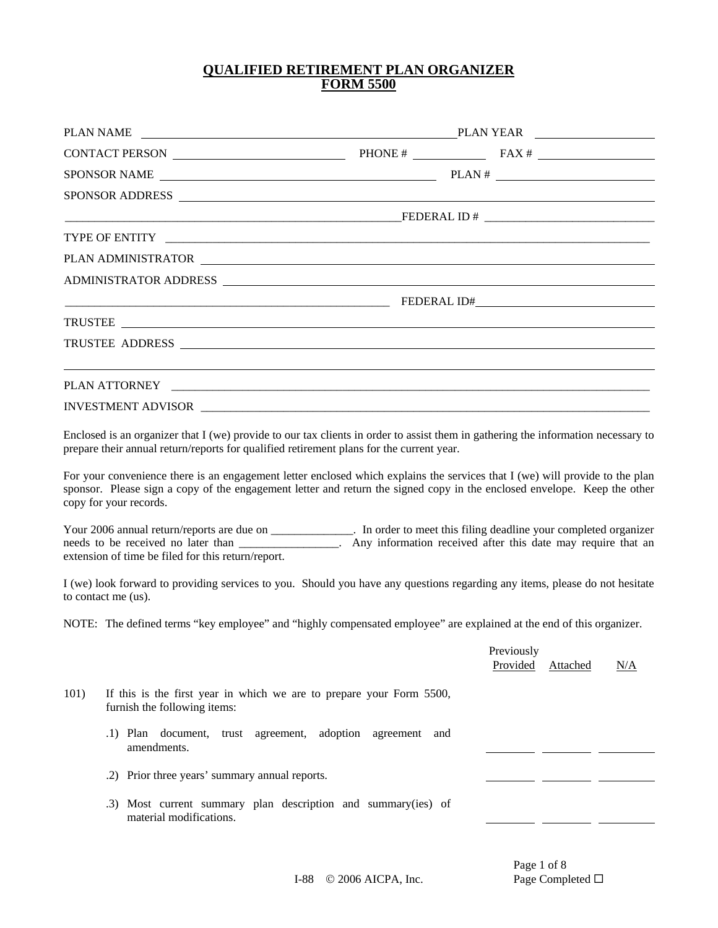### **QUALIFIED RETIREMENT PLAN ORGANIZER FORM 5500**

| PLAN NAME |                                                                                                                                                                                                                                                                                                                                                                                                                                                                                                                                                                                                                                                                                                                                                  |                  |                        | PLAN YEAR |     |
|-----------|--------------------------------------------------------------------------------------------------------------------------------------------------------------------------------------------------------------------------------------------------------------------------------------------------------------------------------------------------------------------------------------------------------------------------------------------------------------------------------------------------------------------------------------------------------------------------------------------------------------------------------------------------------------------------------------------------------------------------------------------------|------------------|------------------------|-----------|-----|
|           | CONTACT PERSON $\qquad \qquad \qquad$ PHONE # $\qquad \qquad$ FAX #                                                                                                                                                                                                                                                                                                                                                                                                                                                                                                                                                                                                                                                                              |                  |                        |           |     |
|           |                                                                                                                                                                                                                                                                                                                                                                                                                                                                                                                                                                                                                                                                                                                                                  |                  |                        |           |     |
|           | SPONSOR ADDRESS                                                                                                                                                                                                                                                                                                                                                                                                                                                                                                                                                                                                                                                                                                                                  |                  |                        |           |     |
|           |                                                                                                                                                                                                                                                                                                                                                                                                                                                                                                                                                                                                                                                                                                                                                  |                  |                        |           |     |
|           | TYPE OF ENTITY <b>A PERSON CONSUMERS</b>                                                                                                                                                                                                                                                                                                                                                                                                                                                                                                                                                                                                                                                                                                         |                  |                        |           |     |
|           |                                                                                                                                                                                                                                                                                                                                                                                                                                                                                                                                                                                                                                                                                                                                                  |                  |                        |           |     |
|           | ADMINISTRATOR ADDRESS                                                                                                                                                                                                                                                                                                                                                                                                                                                                                                                                                                                                                                                                                                                            |                  |                        |           |     |
|           |                                                                                                                                                                                                                                                                                                                                                                                                                                                                                                                                                                                                                                                                                                                                                  |                  |                        |           |     |
|           |                                                                                                                                                                                                                                                                                                                                                                                                                                                                                                                                                                                                                                                                                                                                                  |                  |                        |           |     |
|           | TRUSTEE ADDRESS                                                                                                                                                                                                                                                                                                                                                                                                                                                                                                                                                                                                                                                                                                                                  |                  |                        |           |     |
|           |                                                                                                                                                                                                                                                                                                                                                                                                                                                                                                                                                                                                                                                                                                                                                  |                  |                        |           |     |
|           |                                                                                                                                                                                                                                                                                                                                                                                                                                                                                                                                                                                                                                                                                                                                                  |                  |                        |           |     |
|           | For your convenience there is an engagement letter enclosed which explains the services that I (we) will provide to the plan<br>sponsor. Please sign a copy of the engagement letter and return the signed copy in the enclosed envelope. Keep the other<br>copy for your records.<br>Your 2006 annual return/reports are due on ______________. In order to meet this filing deadline your completed organizer<br>needs to be received no later than ________________. Any information received after this date may require that an<br>extension of time be filed for this return/report.<br>I (we) look forward to providing services to you. Should you have any questions regarding any items, please do not hesitate<br>to contact me (us). |                  |                        |           |     |
|           |                                                                                                                                                                                                                                                                                                                                                                                                                                                                                                                                                                                                                                                                                                                                                  |                  |                        |           |     |
|           | NOTE: The defined terms "key employee" and "highly compensated employee" are explained at the end of this organizer.                                                                                                                                                                                                                                                                                                                                                                                                                                                                                                                                                                                                                             |                  |                        |           |     |
|           |                                                                                                                                                                                                                                                                                                                                                                                                                                                                                                                                                                                                                                                                                                                                                  |                  | Previously<br>Provided | Attached  | N/A |
| 101)      | If this is the first year in which we are to prepare your Form 5500,<br>furnish the following items:                                                                                                                                                                                                                                                                                                                                                                                                                                                                                                                                                                                                                                             |                  |                        |           |     |
|           | trust agreement, adoption<br>.1) Plan document,<br>amendments.                                                                                                                                                                                                                                                                                                                                                                                                                                                                                                                                                                                                                                                                                   | agreement<br>and |                        |           |     |
|           | .2) Prior three years' summary annual reports.                                                                                                                                                                                                                                                                                                                                                                                                                                                                                                                                                                                                                                                                                                   |                  |                        |           |     |
|           | .3) Most current summary plan description and summary(ies) of<br>material modifications.                                                                                                                                                                                                                                                                                                                                                                                                                                                                                                                                                                                                                                                         |                  |                        |           |     |

Page 1 of 8<br>Page Completed  $\Box$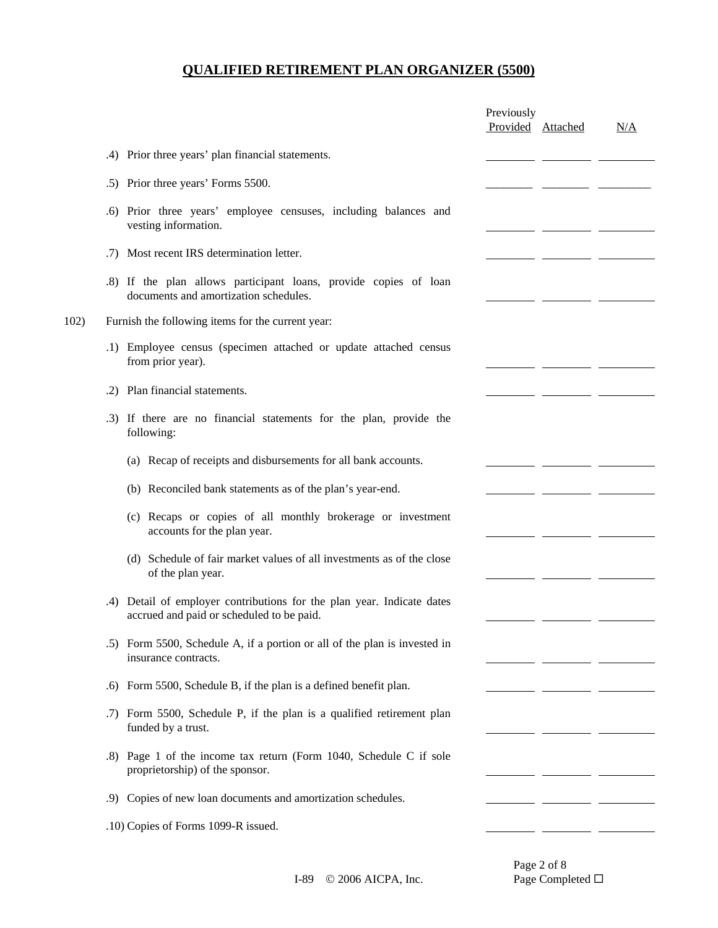|      |     |                                                                                                                     | Previously<br>Provided Attached | N/A |
|------|-----|---------------------------------------------------------------------------------------------------------------------|---------------------------------|-----|
|      |     | .4) Prior three years' plan financial statements.                                                                   |                                 |     |
|      |     | .5) Prior three years' Forms 5500.                                                                                  |                                 |     |
|      | .6) | Prior three years' employee censuses, including balances and<br>vesting information.                                |                                 |     |
|      | .7) | Most recent IRS determination letter.                                                                               |                                 |     |
|      |     | .8) If the plan allows participant loans, provide copies of loan<br>documents and amortization schedules.           |                                 |     |
| 102) |     | Furnish the following items for the current year:                                                                   |                                 |     |
|      |     | .1) Employee census (specimen attached or update attached census<br>from prior year).                               |                                 |     |
|      | .2) | Plan financial statements.                                                                                          |                                 |     |
|      |     | .3) If there are no financial statements for the plan, provide the<br>following:                                    |                                 |     |
|      |     | (a) Recap of receipts and disbursements for all bank accounts.                                                      |                                 |     |
|      |     | (b) Reconciled bank statements as of the plan's year-end.                                                           |                                 |     |
|      |     | (c) Recaps or copies of all monthly brokerage or investment<br>accounts for the plan year.                          |                                 |     |
|      |     | (d) Schedule of fair market values of all investments as of the close<br>of the plan year.                          |                                 |     |
|      |     | .4) Detail of employer contributions for the plan year. Indicate dates<br>accrued and paid or scheduled to be paid. |                                 |     |
|      |     | .5) Form 5500, Schedule A, if a portion or all of the plan is invested in<br>insurance contracts.                   |                                 |     |
|      | .6) | Form 5500, Schedule B, if the plan is a defined benefit plan.                                                       |                                 |     |
|      | .7) | Form 5500, Schedule P, if the plan is a qualified retirement plan<br>funded by a trust.                             |                                 |     |
|      | .8) | Page 1 of the income tax return (Form 1040, Schedule C if sole<br>proprietorship) of the sponsor.                   |                                 |     |
|      | .9) | Copies of new loan documents and amortization schedules.                                                            |                                 |     |
|      |     | .10) Copies of Forms 1099-R issued.                                                                                 |                                 |     |
|      |     |                                                                                                                     |                                 |     |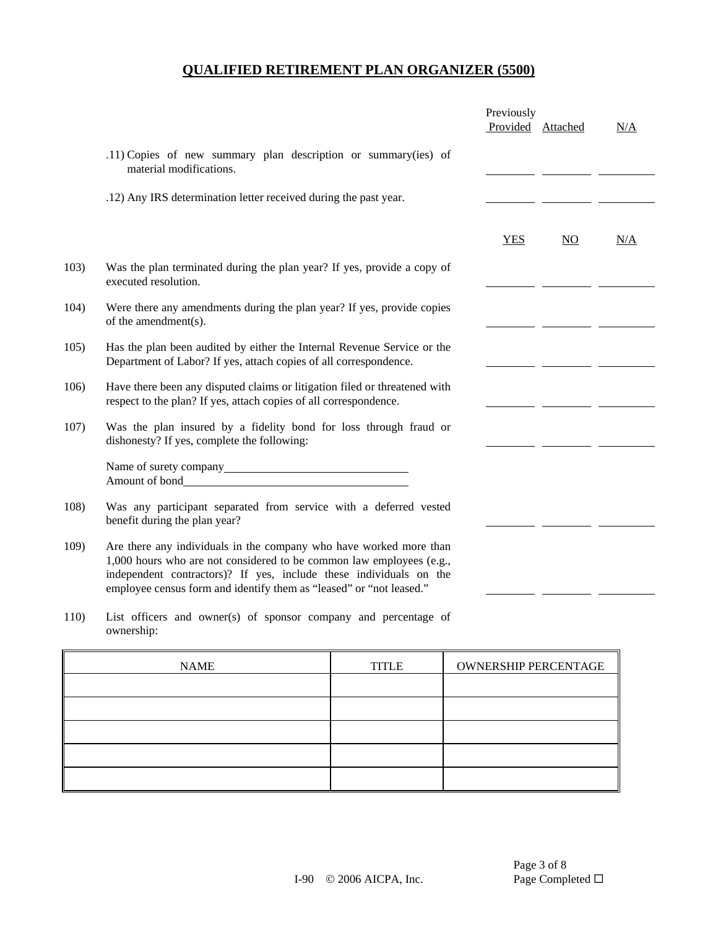|      |                                                                                                                                                                                                                                                                                         | Previously<br>Provided Attached |    | N/A |
|------|-----------------------------------------------------------------------------------------------------------------------------------------------------------------------------------------------------------------------------------------------------------------------------------------|---------------------------------|----|-----|
|      | .11) Copies of new summary plan description or summary(ies) of<br>material modifications.                                                                                                                                                                                               |                                 |    |     |
|      | .12) Any IRS determination letter received during the past year.                                                                                                                                                                                                                        |                                 |    |     |
|      |                                                                                                                                                                                                                                                                                         | <b>YES</b>                      | NO | N/A |
| 103) | Was the plan terminated during the plan year? If yes, provide a copy of<br>executed resolution.                                                                                                                                                                                         |                                 |    |     |
| 104) | Were there any amendments during the plan year? If yes, provide copies<br>of the amendment(s).                                                                                                                                                                                          |                                 |    |     |
| 105) | Has the plan been audited by either the Internal Revenue Service or the<br>Department of Labor? If yes, attach copies of all correspondence.                                                                                                                                            |                                 |    |     |
| 106) | Have there been any disputed claims or litigation filed or threatened with<br>respect to the plan? If yes, attach copies of all correspondence.                                                                                                                                         |                                 |    |     |
| 107) | Was the plan insured by a fidelity bond for loss through fraud or<br>dishonesty? If yes, complete the following:                                                                                                                                                                        |                                 |    |     |
|      | Name of surety company<br><u>Name</u> of surety company<br>Amount of bond                                                                                                                                                                                                               |                                 |    |     |
| 108) | Was any participant separated from service with a deferred vested<br>benefit during the plan year?                                                                                                                                                                                      |                                 |    |     |
| 109) | Are there any individuals in the company who have worked more than<br>1,000 hours who are not considered to be common law employees (e.g.,<br>independent contractors)? If yes, include these individuals on the<br>employee census form and identify them as "leased" or "not leased." |                                 |    |     |
|      |                                                                                                                                                                                                                                                                                         |                                 |    |     |

110) List officers and owner(s) of sponsor company and percentage of ownership:

| <b>NAME</b> | <b>TITLE</b> | <b>OWNERSHIP PERCENTAGE</b> |
|-------------|--------------|-----------------------------|
|             |              |                             |
|             |              |                             |
|             |              |                             |
|             |              |                             |
|             |              |                             |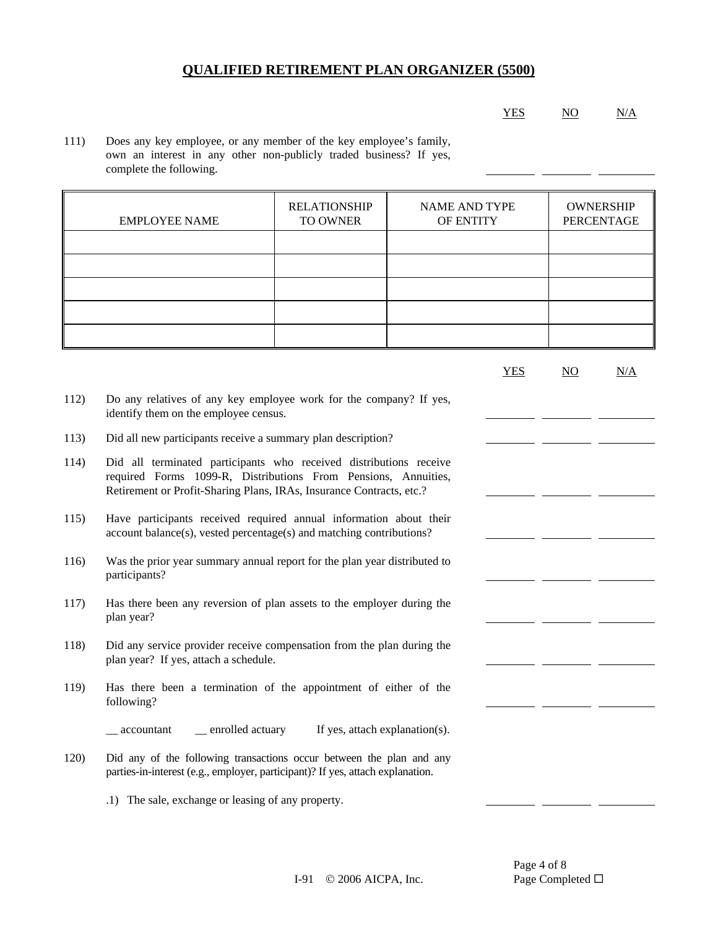#### YES NO N/A

111) Does any key employee, or any member of the key employee's family, own an interest in any other non-publicly traded business? If yes, complete the following.

| <b>EMPLOYEE NAME</b> | <b>RELATIONSHIP</b><br>TO OWNER | <b>NAME AND TYPE</b><br>OF ENTITY | <b>OWNERSHIP</b><br>PERCENTAGE |
|----------------------|---------------------------------|-----------------------------------|--------------------------------|
|                      |                                 |                                   |                                |
|                      |                                 |                                   |                                |
|                      |                                 |                                   |                                |
|                      |                                 |                                   |                                |
|                      |                                 |                                   |                                |

|      |                                                                                                                                                                                                              | <b>YES</b> | NO | N/A |
|------|--------------------------------------------------------------------------------------------------------------------------------------------------------------------------------------------------------------|------------|----|-----|
| 112) | Do any relatives of any key employee work for the company? If yes,<br>identify them on the employee census.                                                                                                  |            |    |     |
| 113) | Did all new participants receive a summary plan description?                                                                                                                                                 |            |    |     |
| 114) | Did all terminated participants who received distributions receive<br>required Forms 1099-R, Distributions From Pensions, Annuities,<br>Retirement or Profit-Sharing Plans, IRAs, Insurance Contracts, etc.? |            |    |     |
| 115) | Have participants received required annual information about their<br>account balance(s), vested percentage(s) and matching contributions?                                                                   |            |    |     |
| 116) | Was the prior year summary annual report for the plan year distributed to<br>participants?                                                                                                                   |            |    |     |
| 117) | Has there been any reversion of plan assets to the employer during the<br>plan year?                                                                                                                         |            |    |     |
| 118) | Did any service provider receive compensation from the plan during the<br>plan year? If yes, attach a schedule.                                                                                              |            |    |     |
| 119) | Has there been a termination of the appointment of either of the<br>following?                                                                                                                               |            |    |     |
|      | _ enrolled actuary<br>If yes, attach explanation(s).<br>accountant                                                                                                                                           |            |    |     |
| 120) | Did any of the following transactions occur between the plan and any<br>parties-in-interest (e.g., employer, participant)? If yes, attach explanation.                                                       |            |    |     |
|      | .1) The sale, exchange or leasing of any property.                                                                                                                                                           |            |    |     |

Page 4 of 8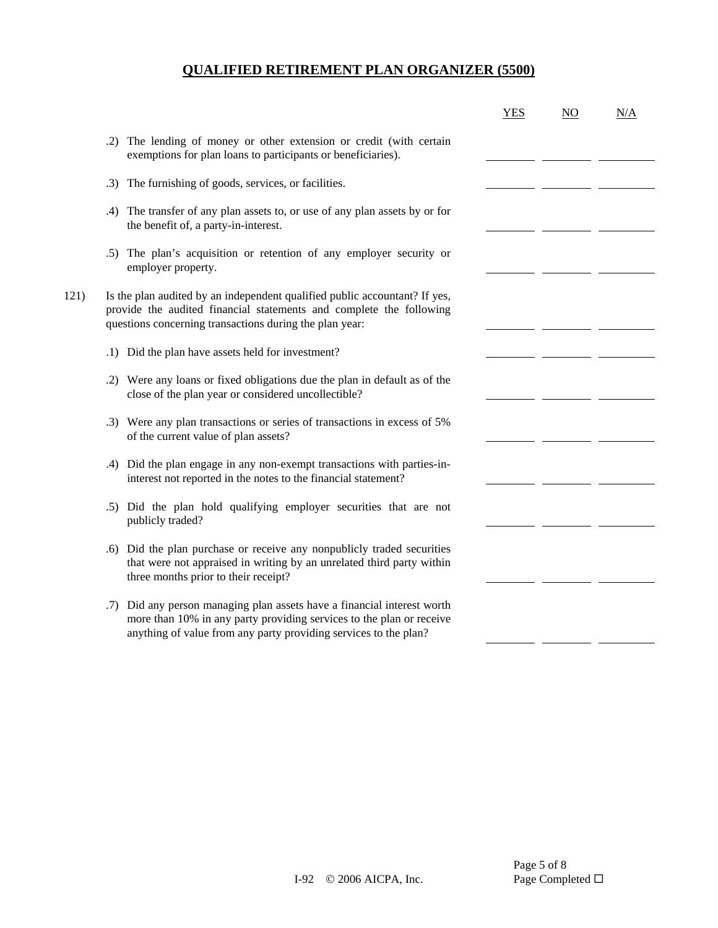|      |                                                                                                                                                                                                                        | <b>YES</b> | NO | N/A |
|------|------------------------------------------------------------------------------------------------------------------------------------------------------------------------------------------------------------------------|------------|----|-----|
|      | The lending of money or other extension or credit (with certain<br>.2)<br>exemptions for plan loans to participants or beneficiaries).                                                                                 |            |    |     |
|      | The furnishing of goods, services, or facilities.<br>.3)                                                                                                                                                               |            |    |     |
|      | The transfer of any plan assets to, or use of any plan assets by or for<br>.4)<br>the benefit of, a party-in-interest.                                                                                                 |            |    |     |
|      | .5) The plan's acquisition or retention of any employer security or<br>employer property.                                                                                                                              |            |    |     |
| 121) | Is the plan audited by an independent qualified public accountant? If yes,<br>provide the audited financial statements and complete the following<br>questions concerning transactions during the plan year:           |            |    |     |
|      | .1) Did the plan have assets held for investment?                                                                                                                                                                      |            |    |     |
|      | .2) Were any loans or fixed obligations due the plan in default as of the<br>close of the plan year or considered uncollectible?                                                                                       |            |    |     |
|      | .3) Were any plan transactions or series of transactions in excess of 5%<br>of the current value of plan assets?                                                                                                       |            |    |     |
|      | .4) Did the plan engage in any non-exempt transactions with parties-in-<br>interest not reported in the notes to the financial statement?                                                                              |            |    |     |
|      | Did the plan hold qualifying employer securities that are not<br>.5)<br>publicly traded?                                                                                                                               |            |    |     |
|      | Did the plan purchase or receive any nonpublicly traded securities<br>.6)<br>that were not appraised in writing by an unrelated third party within<br>three months prior to their receipt?                             |            |    |     |
|      | Did any person managing plan assets have a financial interest worth<br>.7)<br>more than 10% in any party providing services to the plan or receive<br>anything of value from any party providing services to the plan? |            |    |     |
|      |                                                                                                                                                                                                                        |            |    |     |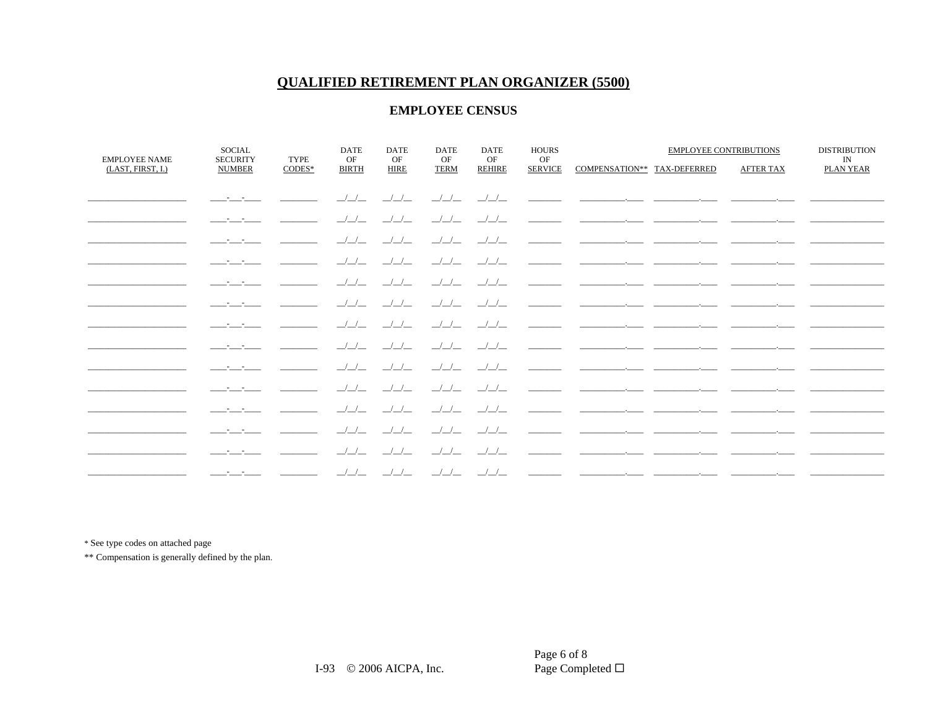### **EMPLOYEE CENSUS**

| <b>EMPLOYEE NAME</b> | <b>SOCIAL</b><br><b>SECURITY</b>                                                                                        | <b>TYPE</b> | <b>DATE</b><br>OF       | <b>DATE</b><br>OF        | <b>DATE</b><br>OF       | <b>DATE</b><br>OF       | <b>HOURS</b><br>OF |                                                                                                                                                                                                                                      | <b>EMPLOYEE CONTRIBUTIONS</b> | <b>DISTRIBUTION</b><br>IN |
|----------------------|-------------------------------------------------------------------------------------------------------------------------|-------------|-------------------------|--------------------------|-------------------------|-------------------------|--------------------|--------------------------------------------------------------------------------------------------------------------------------------------------------------------------------------------------------------------------------------|-------------------------------|---------------------------|
| (LAST, FIRST, I.)    | <b>NUMBER</b>                                                                                                           | $CODES*$    | <b>BIRTH</b>            | <b>HIRE</b>              | <b>TERM</b>             | <b>REHIRE</b>           | <b>SERVICE</b>     | COMPENSATION** TAX-DEFERRED                                                                                                                                                                                                          | <b>AFTER TAX</b>              | <b>PLAN YEAR</b>          |
|                      | and the company of the                                                                                                  |             | $\frac{1}{2}$           | $\frac{1}{2}$            |                         |                         |                    | <u> 222 - 222 - Elena Hermann, mension elementziar esperantzaren erroma</u>                                                                                                                                                          |                               |                           |
|                      |                                                                                                                         |             |                         |                          |                         |                         |                    |                                                                                                                                                                                                                                      |                               |                           |
|                      |                                                                                                                         |             |                         |                          |                         | __/__/__                |                    | <u> 1989 - Johann John Harry Harry Harry Harry Harry Harry Harry Harry Harry Harry Harry Harry Harry Harry Harry H</u>                                                                                                               |                               |                           |
|                      | and the state of the state                                                                                              |             | $\frac{1}{2}$           | $\frac{\Delta}{\Delta}$  | $\frac{1}{2}$           | $\frac{\gamma}{\gamma}$ |                    | <u> Alexandro alexandro de la construcción de la construcción de la construcción de la construcción de la construcción de la construcción de la construcción de la construcción de la construcción de la construcción de la cons</u> |                               |                           |
|                      | and the state of the                                                                                                    |             | $\frac{1}{2}$           | $\frac{1}{2}$            | $\frac{1}{2}$           | $\frac{1}{2}$           |                    |                                                                                                                                                                                                                                      |                               |                           |
|                      | and the state of the                                                                                                    |             |                         | $-/-/-$                  | $\frac{1}{2}$           | $\frac{1}{2}$           |                    | <u> 1980 - John Harry Harry Harry Harry Harry Harry Harry Harry Harry Harry Harry Harry Harry Harry Harry Harry Harry Harry Harry Harry Harry Harry Harry Harry Harry Harry Harry Harry Harry Harry Harry Harry Harry Harry Harr</u> |                               |                           |
|                      | and the state of the state                                                                                              |             | $\frac{1}{2}$           | $\frac{1}{2}$            | $\frac{1}{2}$           | $\frac{\mu}{\mu}$       |                    |                                                                                                                                                                                                                                      |                               |                           |
|                      | and the company of                                                                                                      |             | $\frac{1}{2}$           | $\frac{1}{2}$            | $\frac{1}{2}$           | $\frac{\gamma}{\gamma}$ |                    | <u> 1989 - Alexandro Alexandro Alexandro Alexandro </u>                                                                                                                                                                              |                               |                           |
|                      | and the company of                                                                                                      |             |                         | $\overline{\phantom{a}}$ | $\frac{1}{2}$           | $\frac{1}{2}$           |                    |                                                                                                                                                                                                                                      |                               |                           |
|                      | and the state of the state                                                                                              |             | $\frac{\Delta}{\Delta}$ | $\frac{\Delta}{\Delta}$  | $\frac{\gamma}{\gamma}$ | $\frac{\Delta}{\Delta}$ |                    | <u> 1989 - Andrea Andrew Alexander (h. 1989)</u>                                                                                                                                                                                     |                               |                           |
|                      | and the company of the                                                                                                  |             | $\frac{1}{2}$           | $\frac{1}{2}$            | $\frac{1}{2}$           | $\frac{1}{2}$           |                    | <u> 1999 - Johann John Stone, mars eta eta eta eta erromanen eta erromanen erromanen erromanen erromanen erromane</u>                                                                                                                |                               |                           |
|                      |                                                                                                                         |             |                         | $\frac{1}{1}$            | $\frac{1}{2}$           | $\frac{1}{2}$           |                    | the control of the control of the control of the control of the control of                                                                                                                                                           |                               |                           |
|                      | and the state of the state                                                                                              |             | $\frac{1}{2}$           |                          | $\frac{1}{2}$           | $\frac{\gamma}{\gamma}$ |                    |                                                                                                                                                                                                                                      |                               |                           |
|                      | <u> De Carlos de Carlos de Carlos de Carlos de Carlos de Carlos de Carlos de Carlos de Carlos de Carlos de Carlos d</u> |             |                         |                          | $\frac{1}{2}$           | $\frac{1}{2}$           |                    | <u> 1980 - Andrea Andrew Amerikaans en Andrew Maria (h. 19</u>                                                                                                                                                                       |                               |                           |
|                      |                                                                                                                         |             |                         |                          |                         |                         |                    |                                                                                                                                                                                                                                      |                               |                           |
|                      | and the company of the                                                                                                  |             | $\frac{1}{1}$           | $\frac{1}{1}$            | $\frac{1}{2}$           | $\perp$                 |                    |                                                                                                                                                                                                                                      |                               |                           |

\* See type codes on attached page

\*\* Compensation is generally defined by the plan.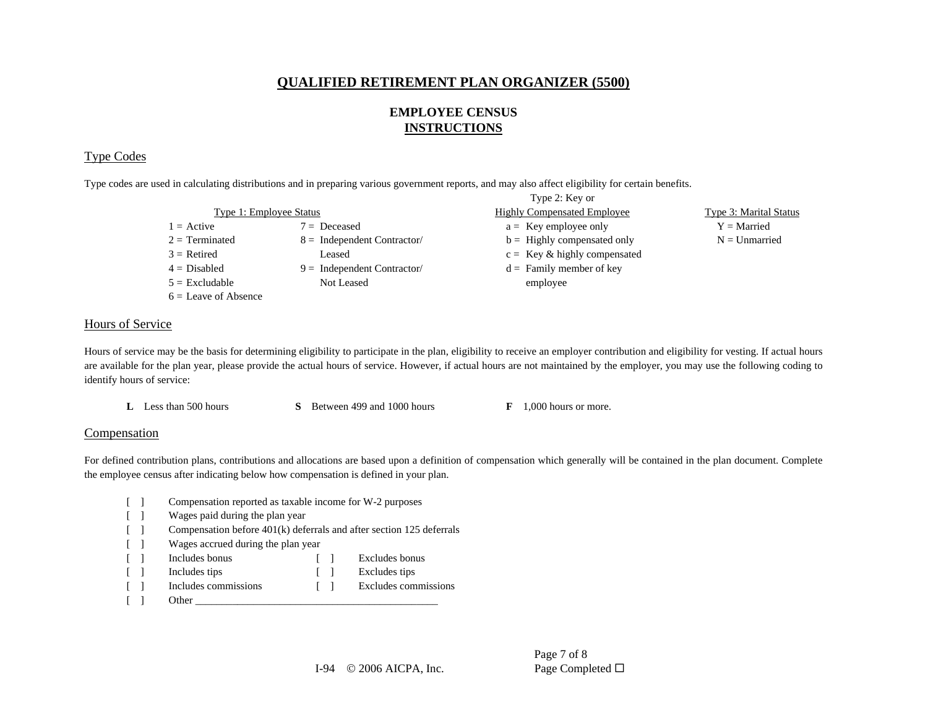### **EMPLOYEE CENSUS INSTRUCTIONS**

### Type Codes

Type codes are used in calculating distributions and in preparing various government reports, and may also affect eligibility for certain benefits.

|                         |                               | Type 2: Key or                     |                        |
|-------------------------|-------------------------------|------------------------------------|------------------------|
| Type 1: Employee Status |                               | <b>Highly Compensated Employee</b> | Type 3: Marital Status |
| $1 =$ Active            | $7 = Deceased$                | $a =$ Key employee only            | $Y =$ Married          |
| $2 = Terminated$        | $8 =$ Independent Contractor/ | $b =$ Highly compensated only      | $N =$ Unmarried        |
| $3$ = Retired           | Leased                        | $c =$ Key & highly compensated     |                        |
| $4 = Disabled$          | $9 =$ Independent Contractor/ | $d =$ Family member of key         |                        |
| $5 =$ Excludable        | Not Leased                    | employee                           |                        |
| $6 =$ Leave of Absence  |                               |                                    |                        |

### Hours of Service

Hours of service may be the basis for determining eligibility to participate in the plan, eligibility to receive an employer contribution and eligibility for vesting. If actual hours are available for the plan year, please provide the actual hours of service. However, if actual hours are not maintained by the employer, you may use the following coding to identify hours of service:

**L** Less than 500 hours **S** Between 499 and 1000 hours **F** 1,000 hours or more.

#### **Compensation**

For defined contribution plans, contributions and allocations are based upon a definition of compensation which generally will be contained in the plan document. Complete the employee census after indicating below how compensation is defined in your plan.

- [ ] Compensation reported as taxable income for W-2 purposes
- [ ] Wages paid during the plan year
- [ ] Compensation before 401(k) deferrals and after section 125 deferrals
- [ ] Wages accrued during the plan year
- [ ] Includes bonus [ ] Excludes bonus
- [ ] Includes tips [ ] Excludes tips
- [ ] Includes commissions [ ] Excludes commissions
- $\begin{bmatrix} 1 & 1 \end{bmatrix}$  Other